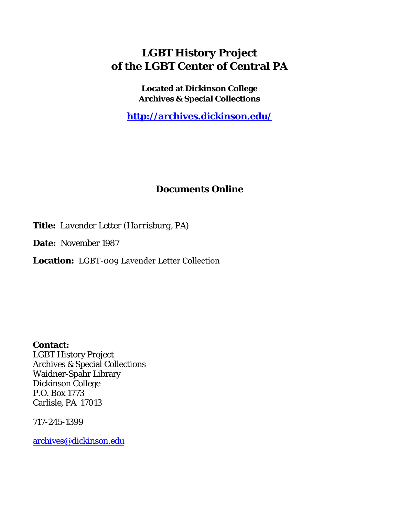## **LGBT History Project of the LGBT Center of Central PA**

**Located at Dickinson College Archives & Special Collections**

**<http://archives.dickinson.edu/>**

## **Documents Online**

**Title:** *Lavender Letter (Harrisburg, PA)*

**Date:** November 1987

**Location:** LGBT-009 Lavender Letter Collection

**Contact:**  LGBT History Project Archives & Special Collections Waidner-Spahr Library Dickinson College P.O. Box 1773 Carlisle, PA 17013

717-245-1399

[archives@dickinson.edu](mailto:archives@dickinson.edu)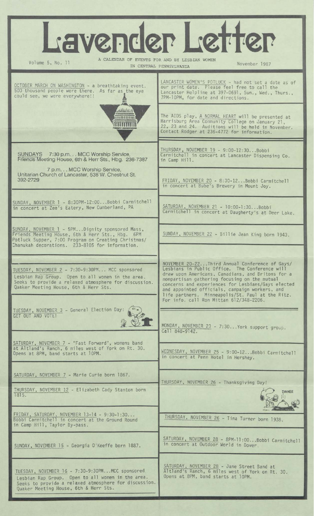| Lavender Letter<br>A CALENDAR OF EVENTS FOR AND BY LESBIAN WOMEN<br>Volume 5, No. 11<br>November 1987<br>IN CENTRAL PENNSYLVANIA<br>LANCASTER WOMEN'S POTLUCK - had not set a date as of<br>OCTOBER MARCH ON WASHINGTON - a breathtaking event.<br>our print date. Please feel free to call the<br>500 thousand people were there. As far as the eye<br>Lancaster Helpline at 397-0691, Sun., Wed., Thurs.,<br>could see, we were everywhere!!<br>7PM-10PM, for date and directions.<br>Atkebund<br>The AIDS play, A NORMAL HEART will be presented at<br><b>ATTELLERED</b><br>Harrisburg Area Community College on January 21,<br>22, 23 and 24. Auditions will be held in November.<br>Contact Rodger at 236-4772 for information.<br>THURSDAY, NOVEMBER 19 - 9:00-12:30Bobbi<br>SUNDAYS 7:30 p.m. MCC Worship Service,<br>Carmitchell in concert at Lancaster Dispensing Co.<br>Friends Meeting House, 6th & Herr Sts., Hbg. 236-7387<br>in Camp Hill.<br>7 p.m. MCC Worship Service,<br>Unitarian Church of Lancaster, 538 W. Chestnut St.<br>392-2729<br>FRIDAY, NOVEMBER 20 - 8:30-12Bobbi Carmitchell<br>in concert at Bube's Brewery in Mount Joy.<br>SUNDAY, NOVEMBER 1 - 8:30PM-12:00Bobbi Carmitchell<br>SATURDAY, NOVEMBER 21 - 10:00-1:30Bobbi<br>in concert at Zee's Eatery, New Cumberland, PA<br>Carmitchell in concert at Daugherty's at Deer Lake.<br>SUNDAY, NOVEMBER 1 - 5PMDignity sponsored Mass,<br>Friends Meeting House, 6th & Herr Sts., Hbg. 6PM<br>SUNDAY, NOVEMBER 22 - Billie Jean King born 1943.<br>Potluck Supper, 7:00 Program on Creating Christmas/<br>Chanukah decorations. 233-8105 for information.<br>NOVEMBER 20-22Third Annual Conference of Gays/<br>Lesbians in Public Office. The Conference will<br>TUESDAY, NOVEMBER 2 - 7:30-9:30PM MCC sponsored<br>draw upon Americans, Canadians, and Britons for a<br>Lesbian Rap Group. Open to all women in the area.<br>nonpartisan gathering focusing on the mutual<br>Seeks to provide a relaxed atmosphere for discussion.<br>concerns and experiences for Lesbians/Gays elected<br>Quaker Meeting House, 6th & Herr Sts.<br>and appointed officials, campaign workers, and<br>life partners. Minneapolis/St. Paul at the Ritz.<br>For info. call Ron Mittan 612/348-2206.<br>TUESDAY, NOVEMBER 3 - General Election Day:<br>GET OUT AND VOTE!<br>MONDAY, NOVEMBER 23 - 7:30 York support group.<br>Call 848-9142.<br>SATURDAY, NOVEMBER 7 - "Fast Forward", womens band<br>at Altland's Ranch, 6 miles west of York on Rt. 30.<br>WEDNESDAY, NOVEMBER 25 - 9:00-12Bobbi Carmitchell<br>Opens at 8PM, band starts at 10PM.<br>in concert at Penn Hotel in Hershey.<br>SATURDAY, NOVEMBER 7 - Marie Curie born 1867.<br>THURSDAY, NOVEMBER 26 - Thanksgiving Day!<br>THURSDAY, NOVEMBER 12 - Elizabeth Cady Stanton born<br><b>DINNER</b><br>1815.<br>FRIDAY, SATURDAY, NOVEMBER 13-14 - 9:30-1:30<br>THURSDAY, NOVEMBER 26 - Tina Turner born 1938.<br>Bobbi Carmitchell in concert at the Ground Round<br>in Camp Hill, Taylor By-pass.<br>SATURDAY, NOVEMBER 28 - 8PM-11:00Bobbi Carmitchell<br>in concert at Outdoor World in Dover.<br>SUNDAY, NOVEMBER 15 - Georgia O'Keeffe born 1887.<br>SATURDAY, NOVEMBER 28 - Jane Street Band at<br>TUESDAY, NOVEMBER 16 - 7:30-9:30PMMCC sponsored<br>Altland's Ranch, 6 miles west of York on Rt. 30.<br>Opens at 8PM, band starts at 10PM.<br>Lesbian Rap Group. Open to all women in the area.<br>Seeks to provide a relaxed atmosphere for discussion.<br>Quaker Meeting House, 6th & Herr Sts. |  |  |
|-------------------------------------------------------------------------------------------------------------------------------------------------------------------------------------------------------------------------------------------------------------------------------------------------------------------------------------------------------------------------------------------------------------------------------------------------------------------------------------------------------------------------------------------------------------------------------------------------------------------------------------------------------------------------------------------------------------------------------------------------------------------------------------------------------------------------------------------------------------------------------------------------------------------------------------------------------------------------------------------------------------------------------------------------------------------------------------------------------------------------------------------------------------------------------------------------------------------------------------------------------------------------------------------------------------------------------------------------------------------------------------------------------------------------------------------------------------------------------------------------------------------------------------------------------------------------------------------------------------------------------------------------------------------------------------------------------------------------------------------------------------------------------------------------------------------------------------------------------------------------------------------------------------------------------------------------------------------------------------------------------------------------------------------------------------------------------------------------------------------------------------------------------------------------------------------------------------------------------------------------------------------------------------------------------------------------------------------------------------------------------------------------------------------------------------------------------------------------------------------------------------------------------------------------------------------------------------------------------------------------------------------------------------------------------------------------------------------------------------------------------------------------------------------------------------------------------------------------------------------------------------------------------------------------------------------------------------------------------------------------------------------------------------------------------------------------------------------------------------------------------------------------------------------------------------------------------------------------------------------------------------------------------------------------------------------------------------------------------------------------------------------------------------------------------------------------------------------------------------------------------------------------------------------|--|--|
|                                                                                                                                                                                                                                                                                                                                                                                                                                                                                                                                                                                                                                                                                                                                                                                                                                                                                                                                                                                                                                                                                                                                                                                                                                                                                                                                                                                                                                                                                                                                                                                                                                                                                                                                                                                                                                                                                                                                                                                                                                                                                                                                                                                                                                                                                                                                                                                                                                                                                                                                                                                                                                                                                                                                                                                                                                                                                                                                                                                                                                                                                                                                                                                                                                                                                                                                                                                                                                                                                                                                           |  |  |
|                                                                                                                                                                                                                                                                                                                                                                                                                                                                                                                                                                                                                                                                                                                                                                                                                                                                                                                                                                                                                                                                                                                                                                                                                                                                                                                                                                                                                                                                                                                                                                                                                                                                                                                                                                                                                                                                                                                                                                                                                                                                                                                                                                                                                                                                                                                                                                                                                                                                                                                                                                                                                                                                                                                                                                                                                                                                                                                                                                                                                                                                                                                                                                                                                                                                                                                                                                                                                                                                                                                                           |  |  |
|                                                                                                                                                                                                                                                                                                                                                                                                                                                                                                                                                                                                                                                                                                                                                                                                                                                                                                                                                                                                                                                                                                                                                                                                                                                                                                                                                                                                                                                                                                                                                                                                                                                                                                                                                                                                                                                                                                                                                                                                                                                                                                                                                                                                                                                                                                                                                                                                                                                                                                                                                                                                                                                                                                                                                                                                                                                                                                                                                                                                                                                                                                                                                                                                                                                                                                                                                                                                                                                                                                                                           |  |  |
|                                                                                                                                                                                                                                                                                                                                                                                                                                                                                                                                                                                                                                                                                                                                                                                                                                                                                                                                                                                                                                                                                                                                                                                                                                                                                                                                                                                                                                                                                                                                                                                                                                                                                                                                                                                                                                                                                                                                                                                                                                                                                                                                                                                                                                                                                                                                                                                                                                                                                                                                                                                                                                                                                                                                                                                                                                                                                                                                                                                                                                                                                                                                                                                                                                                                                                                                                                                                                                                                                                                                           |  |  |
|                                                                                                                                                                                                                                                                                                                                                                                                                                                                                                                                                                                                                                                                                                                                                                                                                                                                                                                                                                                                                                                                                                                                                                                                                                                                                                                                                                                                                                                                                                                                                                                                                                                                                                                                                                                                                                                                                                                                                                                                                                                                                                                                                                                                                                                                                                                                                                                                                                                                                                                                                                                                                                                                                                                                                                                                                                                                                                                                                                                                                                                                                                                                                                                                                                                                                                                                                                                                                                                                                                                                           |  |  |
|                                                                                                                                                                                                                                                                                                                                                                                                                                                                                                                                                                                                                                                                                                                                                                                                                                                                                                                                                                                                                                                                                                                                                                                                                                                                                                                                                                                                                                                                                                                                                                                                                                                                                                                                                                                                                                                                                                                                                                                                                                                                                                                                                                                                                                                                                                                                                                                                                                                                                                                                                                                                                                                                                                                                                                                                                                                                                                                                                                                                                                                                                                                                                                                                                                                                                                                                                                                                                                                                                                                                           |  |  |
|                                                                                                                                                                                                                                                                                                                                                                                                                                                                                                                                                                                                                                                                                                                                                                                                                                                                                                                                                                                                                                                                                                                                                                                                                                                                                                                                                                                                                                                                                                                                                                                                                                                                                                                                                                                                                                                                                                                                                                                                                                                                                                                                                                                                                                                                                                                                                                                                                                                                                                                                                                                                                                                                                                                                                                                                                                                                                                                                                                                                                                                                                                                                                                                                                                                                                                                                                                                                                                                                                                                                           |  |  |
|                                                                                                                                                                                                                                                                                                                                                                                                                                                                                                                                                                                                                                                                                                                                                                                                                                                                                                                                                                                                                                                                                                                                                                                                                                                                                                                                                                                                                                                                                                                                                                                                                                                                                                                                                                                                                                                                                                                                                                                                                                                                                                                                                                                                                                                                                                                                                                                                                                                                                                                                                                                                                                                                                                                                                                                                                                                                                                                                                                                                                                                                                                                                                                                                                                                                                                                                                                                                                                                                                                                                           |  |  |
|                                                                                                                                                                                                                                                                                                                                                                                                                                                                                                                                                                                                                                                                                                                                                                                                                                                                                                                                                                                                                                                                                                                                                                                                                                                                                                                                                                                                                                                                                                                                                                                                                                                                                                                                                                                                                                                                                                                                                                                                                                                                                                                                                                                                                                                                                                                                                                                                                                                                                                                                                                                                                                                                                                                                                                                                                                                                                                                                                                                                                                                                                                                                                                                                                                                                                                                                                                                                                                                                                                                                           |  |  |
|                                                                                                                                                                                                                                                                                                                                                                                                                                                                                                                                                                                                                                                                                                                                                                                                                                                                                                                                                                                                                                                                                                                                                                                                                                                                                                                                                                                                                                                                                                                                                                                                                                                                                                                                                                                                                                                                                                                                                                                                                                                                                                                                                                                                                                                                                                                                                                                                                                                                                                                                                                                                                                                                                                                                                                                                                                                                                                                                                                                                                                                                                                                                                                                                                                                                                                                                                                                                                                                                                                                                           |  |  |
|                                                                                                                                                                                                                                                                                                                                                                                                                                                                                                                                                                                                                                                                                                                                                                                                                                                                                                                                                                                                                                                                                                                                                                                                                                                                                                                                                                                                                                                                                                                                                                                                                                                                                                                                                                                                                                                                                                                                                                                                                                                                                                                                                                                                                                                                                                                                                                                                                                                                                                                                                                                                                                                                                                                                                                                                                                                                                                                                                                                                                                                                                                                                                                                                                                                                                                                                                                                                                                                                                                                                           |  |  |
|                                                                                                                                                                                                                                                                                                                                                                                                                                                                                                                                                                                                                                                                                                                                                                                                                                                                                                                                                                                                                                                                                                                                                                                                                                                                                                                                                                                                                                                                                                                                                                                                                                                                                                                                                                                                                                                                                                                                                                                                                                                                                                                                                                                                                                                                                                                                                                                                                                                                                                                                                                                                                                                                                                                                                                                                                                                                                                                                                                                                                                                                                                                                                                                                                                                                                                                                                                                                                                                                                                                                           |  |  |
|                                                                                                                                                                                                                                                                                                                                                                                                                                                                                                                                                                                                                                                                                                                                                                                                                                                                                                                                                                                                                                                                                                                                                                                                                                                                                                                                                                                                                                                                                                                                                                                                                                                                                                                                                                                                                                                                                                                                                                                                                                                                                                                                                                                                                                                                                                                                                                                                                                                                                                                                                                                                                                                                                                                                                                                                                                                                                                                                                                                                                                                                                                                                                                                                                                                                                                                                                                                                                                                                                                                                           |  |  |
|                                                                                                                                                                                                                                                                                                                                                                                                                                                                                                                                                                                                                                                                                                                                                                                                                                                                                                                                                                                                                                                                                                                                                                                                                                                                                                                                                                                                                                                                                                                                                                                                                                                                                                                                                                                                                                                                                                                                                                                                                                                                                                                                                                                                                                                                                                                                                                                                                                                                                                                                                                                                                                                                                                                                                                                                                                                                                                                                                                                                                                                                                                                                                                                                                                                                                                                                                                                                                                                                                                                                           |  |  |
|                                                                                                                                                                                                                                                                                                                                                                                                                                                                                                                                                                                                                                                                                                                                                                                                                                                                                                                                                                                                                                                                                                                                                                                                                                                                                                                                                                                                                                                                                                                                                                                                                                                                                                                                                                                                                                                                                                                                                                                                                                                                                                                                                                                                                                                                                                                                                                                                                                                                                                                                                                                                                                                                                                                                                                                                                                                                                                                                                                                                                                                                                                                                                                                                                                                                                                                                                                                                                                                                                                                                           |  |  |
|                                                                                                                                                                                                                                                                                                                                                                                                                                                                                                                                                                                                                                                                                                                                                                                                                                                                                                                                                                                                                                                                                                                                                                                                                                                                                                                                                                                                                                                                                                                                                                                                                                                                                                                                                                                                                                                                                                                                                                                                                                                                                                                                                                                                                                                                                                                                                                                                                                                                                                                                                                                                                                                                                                                                                                                                                                                                                                                                                                                                                                                                                                                                                                                                                                                                                                                                                                                                                                                                                                                                           |  |  |
|                                                                                                                                                                                                                                                                                                                                                                                                                                                                                                                                                                                                                                                                                                                                                                                                                                                                                                                                                                                                                                                                                                                                                                                                                                                                                                                                                                                                                                                                                                                                                                                                                                                                                                                                                                                                                                                                                                                                                                                                                                                                                                                                                                                                                                                                                                                                                                                                                                                                                                                                                                                                                                                                                                                                                                                                                                                                                                                                                                                                                                                                                                                                                                                                                                                                                                                                                                                                                                                                                                                                           |  |  |